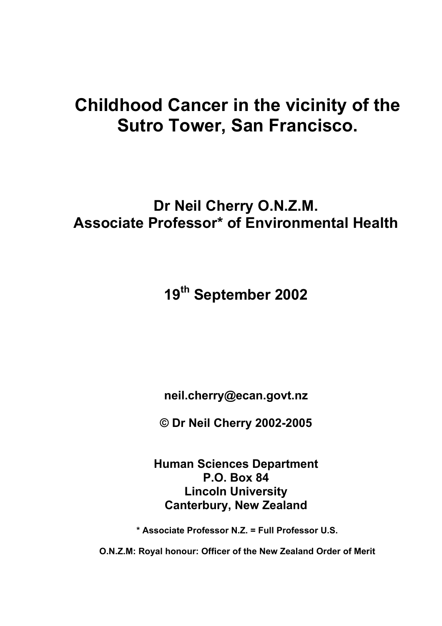# **Childhood Cancer in the vicinity of the Sutro Tower, San Francisco.**

## **Dr Neil Cherry O.N.Z.M. Associate Professor\* of Environmental Health**

**19th September 2002** 

**neil.cherry@ecan.govt.nz** 

**© Dr Neil Cherry 2002-2005** 

**Human Sciences Department P.O. Box 84 Lincoln University Canterbury, New Zealand** 

**\* Associate Professor N.Z. = Full Professor U.S.** 

**O.N.Z.M: Royal honour: Officer of the New Zealand Order of Merit**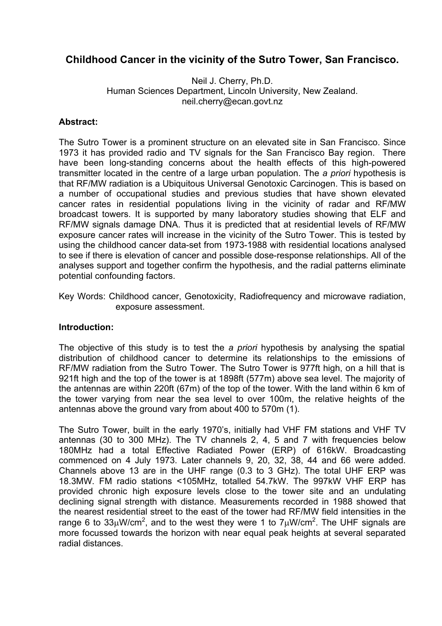### **Childhood Cancer in the vicinity of the Sutro Tower, San Francisco.**

Neil J. Cherry, Ph.D. Human Sciences Department, Lincoln University, New Zealand. neil.cherry@ecan.govt.nz

#### **Abstract:**

The Sutro Tower is a prominent structure on an elevated site in San Francisco. Since 1973 it has provided radio and TV signals for the San Francisco Bay region. There have been long-standing concerns about the health effects of this high-powered transmitter located in the centre of a large urban population. The *a priori* hypothesis is that RF/MW radiation is a Ubiquitous Universal Genotoxic Carcinogen. This is based on a number of occupational studies and previous studies that have shown elevated cancer rates in residential populations living in the vicinity of radar and RF/MW broadcast towers. It is supported by many laboratory studies showing that ELF and RF/MW signals damage DNA. Thus it is predicted that at residential levels of RF/MW exposure cancer rates will increase in the vicinity of the Sutro Tower. This is tested by using the childhood cancer data-set from 1973-1988 with residential locations analysed to see if there is elevation of cancer and possible dose-response relationships. All of the analyses support and together confirm the hypothesis, and the radial patterns eliminate potential confounding factors.

Key Words: Childhood cancer, Genotoxicity, Radiofrequency and microwave radiation, exposure assessment.

#### **Introduction:**

The objective of this study is to test the *a priori* hypothesis by analysing the spatial distribution of childhood cancer to determine its relationships to the emissions of RF/MW radiation from the Sutro Tower. The Sutro Tower is 977ft high, on a hill that is 921ft high and the top of the tower is at 1898ft (577m) above sea level. The majority of the antennas are within 220ft (67m) of the top of the tower. With the land within 6 km of the tower varying from near the sea level to over 100m, the relative heights of the antennas above the ground vary from about 400 to 570m (1).

The Sutro Tower, built in the early 1970's, initially had VHF FM stations and VHF TV antennas (30 to 300 MHz). The TV channels 2, 4, 5 and 7 with frequencies below 180MHz had a total Effective Radiated Power (ERP) of 616kW. Broadcasting commenced on 4 July 1973. Later channels 9, 20, 32, 38, 44 and 66 were added. Channels above 13 are in the UHF range (0.3 to 3 GHz). The total UHF ERP was 18.3MW. FM radio stations <105MHz, totalled 54.7kW. The 997kW VHF ERP has provided chronic high exposure levels close to the tower site and an undulating declining signal strength with distance. Measurements recorded in 1988 showed that the nearest residential street to the east of the tower had RF/MW field intensities in the range 6 to 33 $\mu$ W/cm<sup>2</sup>, and to the west they were 1 to 7 $\mu$ W/cm<sup>2</sup>. The UHF signals are more focussed towards the horizon with near equal peak heights at several separated radial distances.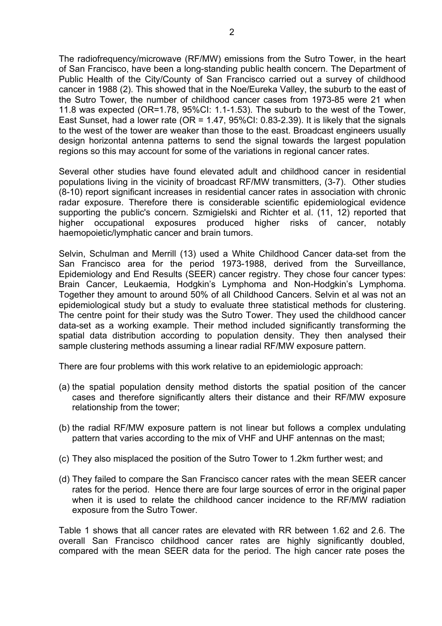The radiofrequency/microwave (RF/MW) emissions from the Sutro Tower, in the heart of San Francisco, have been a long-standing public health concern. The Department of Public Health of the City/County of San Francisco carried out a survey of childhood cancer in 1988 (2). This showed that in the Noe/Eureka Valley, the suburb to the east of the Sutro Tower, the number of childhood cancer cases from 1973-85 were 21 when 11.8 was expected (OR=1.78, 95%CI: 1.1-1.53). The suburb to the west of the Tower, East Sunset, had a lower rate (OR =  $1.47, 95\%$ CI; 0.83-2.39). It is likely that the signals to the west of the tower are weaker than those to the east. Broadcast engineers usually design horizontal antenna patterns to send the signal towards the largest population regions so this may account for some of the variations in regional cancer rates.

Several other studies have found elevated adult and childhood cancer in residential populations living in the vicinity of broadcast RF/MW transmitters, (3-7). Other studies (8-10) report significant increases in residential cancer rates in association with chronic radar exposure. Therefore there is considerable scientific epidemiological evidence supporting the public's concern. Szmigielski and Richter et al. (11, 12) reported that higher occupational exposures produced higher risks of cancer, notably haemopoietic/lymphatic cancer and brain tumors.

Selvin, Schulman and Merrill (13) used a White Childhood Cancer data-set from the San Francisco area for the period 1973-1988, derived from the Surveillance, Epidemiology and End Results (SEER) cancer registry. They chose four cancer types: Brain Cancer, Leukaemia, Hodgkin's Lymphoma and Non-Hodgkin's Lymphoma. Together they amount to around 50% of all Childhood Cancers. Selvin et al was not an epidemiological study but a study to evaluate three statistical methods for clustering. The centre point for their study was the Sutro Tower. They used the childhood cancer data-set as a working example. Their method included significantly transforming the spatial data distribution according to population density. They then analysed their sample clustering methods assuming a linear radial RF/MW exposure pattern.

There are four problems with this work relative to an epidemiologic approach:

- (a) the spatial population density method distorts the spatial position of the cancer cases and therefore significantly alters their distance and their RF/MW exposure relationship from the tower;
- (b) the radial RF/MW exposure pattern is not linear but follows a complex undulating pattern that varies according to the mix of VHF and UHF antennas on the mast;
- (c) They also misplaced the position of the Sutro Tower to 1.2km further west; and
- (d) They failed to compare the San Francisco cancer rates with the mean SEER cancer rates for the period. Hence there are four large sources of error in the original paper when it is used to relate the childhood cancer incidence to the RF/MW radiation exposure from the Sutro Tower.

Table 1 shows that all cancer rates are elevated with RR between 1.62 and 2.6. The overall San Francisco childhood cancer rates are highly significantly doubled, compared with the mean SEER data for the period. The high cancer rate poses the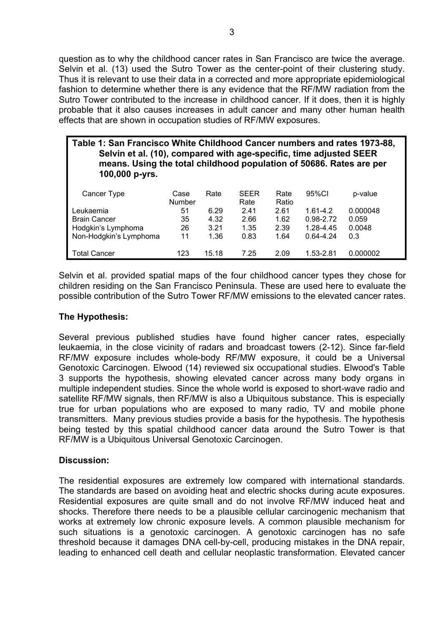question as to why the childhood cancer rates in San Francisco are twice the average. Selvin et al. (13) used the Sutro Tower as the center-point of their clustering study. Thus it is relevant to use their data in a corrected and more appropriate epidemiological fashion to determine whether there is any evidence that the RF/MW radiation from the Sutro Tower contributed to the increase in childhood cancer. If it does, then it is highly probable that it also causes increases in adult cancer and many other human health effects that are shown in occupation studies of RF/MW exposures.

#### **Table 1: San Francisco White Childhood Cancer numbers and rates 1973-88, Selvin et al. (10), compared with age-specific, time adjusted SEER means. Using the total childhood population of 50686. Rates are per 100,000 p-yrs.**

| Cancer Type            | Case<br>Number | Rate  | <b>SEER</b><br>Rate | Rate<br>Ratio | 95%CI         | p-value  |
|------------------------|----------------|-------|---------------------|---------------|---------------|----------|
| Leukaemia              | 51             | 6.29  | 2.41                | 2.61          | $1.61 - 4.2$  | 0.000048 |
| <b>Brain Cancer</b>    | 35             | 4.32  | 2.66                | 1.62          | 0.98-2.72     | 0.059    |
| Hodgkin's Lymphoma     | 26             | 3.21  | 1.35                | 2.39          | 1.28-4.45     | 0.0048   |
| Non-Hodgkin's Lymphoma | 11             | 1.36  | 0.83                | 1.64          | $0.64 - 4.24$ | 0.3      |
|                        |                |       |                     |               |               |          |
| <b>Total Cancer</b>    | 123            | 15.18 | 7.25                | 2.09          | 1.53-2.81     | 0.000002 |

Selvin et al. provided spatial maps of the four childhood cancer types they chose for children residing on the San Francisco Peninsula. These are used here to evaluate the possible contribution of the Sutro Tower RF/MW emissions to the elevated cancer rates.

#### **The Hypothesis:**

Several previous published studies have found higher cancer rates, especially leukaemia, in the close vicinity of radars and broadcast towers (2-12). Since far-field RF/MW exposure includes whole-body RF/MW exposure, it could be a Universal Genotoxic Carcinogen. Elwood (14) reviewed six occupational studies. Elwood's Table 3 supports the hypothesis, showing elevated cancer across many body organs in multiple independent studies. Since the whole world is exposed to short-wave radio and satellite RF/MW signals, then RF/MW is also a Ubiquitous substance. This is especially true for urban populations who are exposed to many radio, TV and mobile phone transmitters. Many previous studies provide a basis for the hypothesis. The hypothesis being tested by this spatial childhood cancer data around the Sutro Tower is that RF/MW is a Ubiquitous Universal Genotoxic Carcinogen.

#### **Discussion:**

The residential exposures are extremely low compared with international standards. The standards are based on avoiding heat and electric shocks during acute exposures. Residential exposures are quite small and do not involve RF/MW induced heat and shocks. Therefore there needs to be a plausible cellular carcinogenic mechanism that works at extremely low chronic exposure levels. A common plausible mechanism for such situations is a genotoxic carcinogen. A genotoxic carcinogen has no safe threshold because it damages DNA cell-by-cell, producing mistakes in the DNA repair, leading to enhanced cell death and cellular neoplastic transformation. Elevated cancer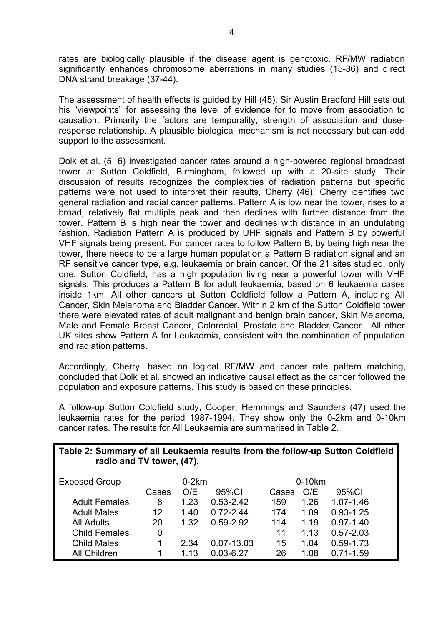rates are biologically plausible if the disease agent is genotoxic. RF/MW radiation significantly enhances chromosome aberrations in many studies (15-36) and direct DNA strand breakage (37-44).

The assessment of health effects is guided by Hill (45). Sir Austin Bradford Hill sets out his "viewpoints" for assessing the level of evidence for to move from association to causation. Primarily the factors are temporality, strength of association and doseresponse relationship. A plausible biological mechanism is not necessary but can add support to the assessment.

Dolk et al. (5, 6) investigated cancer rates around a high-powered regional broadcast tower at Sutton Coldfield, Birmingham, followed up with a 20-site study. Their discussion of results recognizes the complexities of radiation patterns but specific patterns were not used to interpret their results, Cherry (46). Cherry identifies two general radiation and radial cancer patterns. Pattern A is low near the tower, rises to a broad, relatively flat multiple peak and then declines with further distance from the tower. Pattern B is high near the tower and declines with distance in an undulating fashion. Radiation Pattern A is produced by UHF signals and Pattern B by powerful VHF signals being present. For cancer rates to follow Pattern B, by being high near the tower, there needs to be a large human population a Pattern B radiation signal and an RF sensitive cancer type, e.g. leukaemia or brain cancer. Of the 21 sites studied, only one, Sutton Coldfield, has a high population living near a powerful tower with VHF signals. This produces a Pattern B for adult leukaemia, based on 6 leukaemia cases inside 1km. All other cancers at Sutton Coldfield follow a Pattern A, including All Cancer, Skin Melanoma and Bladder Cancer. Within 2 km of the Sutton Coldfield tower there were elevated rates of adult malignant and benign brain cancer, Skin Melanoma, Male and Female Breast Cancer, Colorectal, Prostate and Bladder Cancer. All other UK sites show Pattern A for Leukaemia, consistent with the combination of population and radiation patterns.

Accordingly, Cherry, based on logical RF/MW and cancer rate pattern matching, concluded that Dolk et al. showed an indicative causal effect as the cancer followed the population and exposure patterns. This study is based on these principles.

A follow-up Sutton Coldfield study, Cooper, Hemmings and Saunders (47) used the leukaemia rates for the period 1987-1994. They show only the 0-2km and 0-10km cancer rates. The results for All Leukaemia are summarised in Table 2.

| Table 2: Summary of all Leukaemia results from the follow-up Sutton Coldfield<br>radio and TV tower, (47). |       |         |               |       |          |               |  |  |
|------------------------------------------------------------------------------------------------------------|-------|---------|---------------|-------|----------|---------------|--|--|
| <b>Exposed Group</b>                                                                                       |       | $0-2km$ |               |       | $0-10km$ |               |  |  |
|                                                                                                            | Cases | O/E     | 95%CI         | Cases | O/E      | 95%CI         |  |  |
| <b>Adult Females</b>                                                                                       | 8     | 1.23    | $0.53 - 2.42$ | 159   | 1.26     | 1.07-1.46     |  |  |
| <b>Adult Males</b>                                                                                         | 12    | 1.40    | $0.72 - 2.44$ | 174   | 1.09     | $0.93 - 1.25$ |  |  |
| <b>All Adults</b>                                                                                          | 20    | 1.32    | $0.59 - 2.92$ | 114   | 1.19     | $0.97 - 1.40$ |  |  |
| <b>Child Females</b>                                                                                       | 0     |         |               | 11    | 1.13     | $0.57 - 2.03$ |  |  |
| <b>Child Males</b>                                                                                         |       | 2.34    | 0.07-13.03    | 15    | 1.04     | $0.59 - 1.73$ |  |  |
| <b>All Children</b>                                                                                        |       | 1.13    | $0.03 - 6.27$ | 26    | 1.08     | $0.71 - 1.59$ |  |  |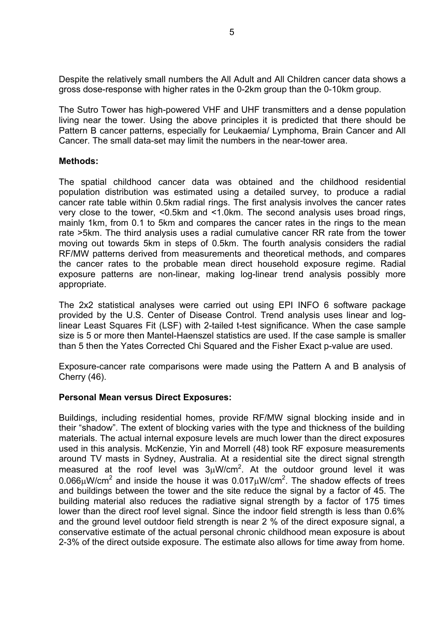Despite the relatively small numbers the All Adult and All Children cancer data shows a gross dose-response with higher rates in the 0-2km group than the 0-10km group.

The Sutro Tower has high-powered VHF and UHF transmitters and a dense population living near the tower. Using the above principles it is predicted that there should be Pattern B cancer patterns, especially for Leukaemia/ Lymphoma, Brain Cancer and All Cancer. The small data-set may limit the numbers in the near-tower area.

#### **Methods:**

The spatial childhood cancer data was obtained and the childhood residential population distribution was estimated using a detailed survey, to produce a radial cancer rate table within 0.5km radial rings. The first analysis involves the cancer rates very close to the tower, <0.5km and <1.0km. The second analysis uses broad rings, mainly 1km, from 0.1 to 5km and compares the cancer rates in the rings to the mean rate >5km. The third analysis uses a radial cumulative cancer RR rate from the tower moving out towards 5km in steps of 0.5km. The fourth analysis considers the radial RF/MW patterns derived from measurements and theoretical methods, and compares the cancer rates to the probable mean direct household exposure regime. Radial exposure patterns are non-linear, making log-linear trend analysis possibly more appropriate.

The 2x2 statistical analyses were carried out using EPI INFO 6 software package provided by the U.S. Center of Disease Control. Trend analysis uses linear and loglinear Least Squares Fit (LSF) with 2-tailed t-test significance. When the case sample size is 5 or more then Mantel-Haenszel statistics are used. If the case sample is smaller than 5 then the Yates Corrected Chi Squared and the Fisher Exact p-value are used.

Exposure-cancer rate comparisons were made using the Pattern A and B analysis of Cherry (46).

#### **Personal Mean versus Direct Exposures:**

Buildings, including residential homes, provide RF/MW signal blocking inside and in their "shadow". The extent of blocking varies with the type and thickness of the building materials. The actual internal exposure levels are much lower than the direct exposures used in this analysis. McKenzie, Yin and Morrell (48) took RF exposure measurements around TV masts in Sydney, Australia. At a residential site the direct signal strength measured at the roof level was  $3\mu$ W/cm<sup>2</sup>. At the outdoor ground level it was 0.066 $\mu$ W/cm<sup>2</sup> and inside the house it was 0.017 $\mu$ W/cm<sup>2</sup>. The shadow effects of trees and buildings between the tower and the site reduce the signal by a factor of 45. The building material also reduces the radiative signal strength by a factor of 175 times lower than the direct roof level signal. Since the indoor field strength is less than 0.6% and the ground level outdoor field strength is near 2 % of the direct exposure signal, a conservative estimate of the actual personal chronic childhood mean exposure is about 2-3% of the direct outside exposure. The estimate also allows for time away from home.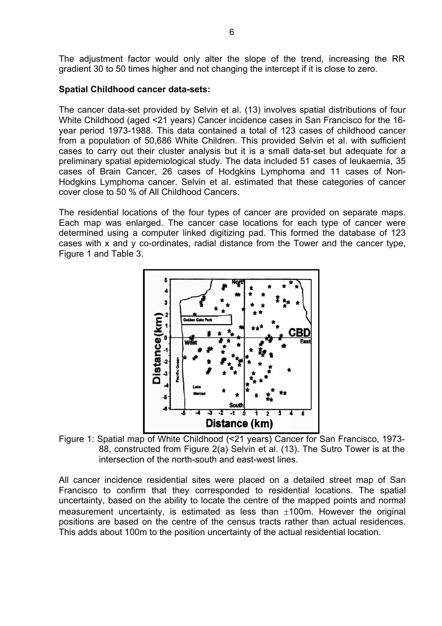The adjustment factor would only alter the slope of the trend, increasing the RR gradient 30 to 50 times higher and not changing the intercept if it is close to zero.

#### **Spatial Childhood cancer data-sets:**

The cancer data-set provided by Selvin et al. (13) involves spatial distributions of four White Childhood (aged <21 years) Cancer incidence cases in San Francisco for the 16 year period 1973-1988. This data contained a total of 123 cases of childhood cancer from a population of 50,686 White Children. This provided Selvin et al. with sufficient cases to carry out their cluster analysis but it is a small data-set but adequate for a preliminary spatial epidemiological study. The data included 51 cases of leukaemia, 35 cases of Brain Cancer, 26 cases of Hodgkins Lymphoma and 11 cases of Non-Hodgkins Lymphoma cancer. Selvin et al. estimated that these categories of cancer cover close to 50 % of All Childhood Cancers.

The residential locations of the four types of cancer are provided on separate maps. Each map was enlarged. The cancer case locations for each type of cancer were determined using a computer linked digitizing pad. This formed the database of 123 cases with x and y co-ordinates, radial distance from the Tower and the cancer type, Figure 1 and Table 3.



Figure 1: Spatial map of White Childhood (<21 years) Cancer for San Francisco, 1973- 88, constructed from Figure 2(a) Selvin et al. (13). The Sutro Tower is at the intersection of the north-south and east-west lines.

All cancer incidence residential sites were placed on a detailed street map of San Francisco to confirm that they corresponded to residential locations. The spatial uncertainty, based on the ability to locate the centre of the mapped points and normal measurement uncertainty, is estimated as less than  $\pm 100$ m. However the original positions are based on the centre of the census tracts rather than actual residences. This adds about 100m to the position uncertainty of the actual residential location.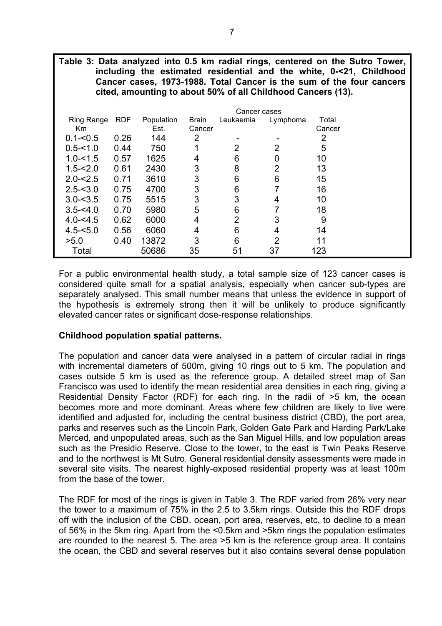| Table 3: Data analyzed into 0.5 km radial rings, centered on the Sutro Tower, |
|-------------------------------------------------------------------------------|
| including the estimated residential and the white, 0-<21, Childhood           |
| Cancer cases, 1973-1988. Total Cancer is the sum of the four cancers          |
| cited, amounting to about 50% of all Childhood Cancers (13).                  |

|              |            |            |        | Cancer cases |                |        |  |
|--------------|------------|------------|--------|--------------|----------------|--------|--|
| Ring Range   | <b>RDF</b> | Population | Brain  | Leukaemia    | Lymphoma       | Total  |  |
| Km           |            | Est.       | Cancer |              |                | Cancer |  |
| $0.1 - 0.5$  | 0.26       | 144        | 2      |              |                | 2      |  |
| $0.5 - 1.0$  | 0.44       | 750        |        | 2            | 2              | 5      |  |
| $1.0 - 1.5$  | 0.57       | 1625       | 4      | 6            | 0              | 10     |  |
| $1.5 - 2.0$  | 0.61       | 2430       | 3      | 8            | 2              | 13     |  |
| $2.0 - 5.5$  | 0.71       | 3610       | 3      | 6            | 6              | 15     |  |
| $2.5 - 3.0$  | 0.75       | 4700       | 3      | 6            |                | 16     |  |
| $3.0 - 3.5$  | 0.75       | 5515       | 3      | 3            | 4              | 10     |  |
| $3.5 - 54.0$ | 0.70       | 5980       | 5      | 6            |                | 18     |  |
| $4.0 - 5.5$  | 0.62       | 6000       | 4      | 2            | 3              | 9      |  |
| $4.5 - 5.0$  | 0.56       | 6060       | 4      | 6            | 4              | 14     |  |
| >5.0         | 0.40       | 13872      | 3      | 6            | $\overline{2}$ | 11     |  |
| Total        |            | 50686      | 35     | 51           | 37             | 123    |  |

For a public environmental health study, a total sample size of 123 cancer cases is considered quite small for a spatial analysis, especially when cancer sub-types are separately analysed. This small number means that unless the evidence in support of the hypothesis is extremely strong then it will be unlikely to produce significantly elevated cancer rates or significant dose-response relationships.

#### **Childhood population spatial patterns.**

The population and cancer data were analysed in a pattern of circular radial in rings with incremental diameters of 500m, giving 10 rings out to 5 km. The population and cases outside 5 km is used as the reference group. A detailed street map of San Francisco was used to identify the mean residential area densities in each ring, giving a Residential Density Factor (RDF) for each ring. In the radii of >5 km, the ocean becomes more and more dominant. Areas where few children are likely to live were identified and adjusted for, including the central business district (CBD), the port area, parks and reserves such as the Lincoln Park, Golden Gate Park and Harding Park/Lake Merced, and unpopulated areas, such as the San Miguel Hills, and low population areas such as the Presidio Reserve. Close to the tower, to the east is Twin Peaks Reserve and to the northwest is Mt Sutro. General residential density assessments were made in several site visits. The nearest highly-exposed residential property was at least 100m from the base of the tower.

The RDF for most of the rings is given in Table 3. The RDF varied from 26% very near the tower to a maximum of 75% in the 2.5 to 3.5km rings. Outside this the RDF drops off with the inclusion of the CBD, ocean, port area, reserves, etc, to decline to a mean of 56% in the 5km ring. Apart from the <0.5km and >5km rings the population estimates are rounded to the nearest 5. The area >5 km is the reference group area. It contains the ocean, the CBD and several reserves but it also contains several dense population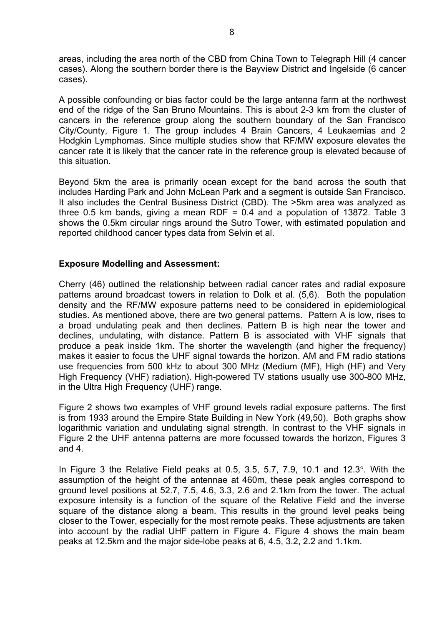areas, including the area north of the CBD from China Town to Telegraph Hill (4 cancer cases). Along the southern border there is the Bayview District and Ingelside (6 cancer cases).

A possible confounding or bias factor could be the large antenna farm at the northwest end of the ridge of the San Bruno Mountains. This is about 2-3 km from the cluster of cancers in the reference group along the southern boundary of the San Francisco City/County, Figure 1. The group includes 4 Brain Cancers, 4 Leukaemias and 2 Hodgkin Lymphomas. Since multiple studies show that RF/MW exposure elevates the cancer rate it is likely that the cancer rate in the reference group is elevated because of this situation.

Beyond 5km the area is primarily ocean except for the band across the south that includes Harding Park and John McLean Park and a segment is outside San Francisco. It also includes the Central Business District (CBD). The >5km area was analyzed as three 0.5 km bands, giving a mean RDF =  $0.4$  and a population of 13872. Table 3 shows the 0.5km circular rings around the Sutro Tower, with estimated population and reported childhood cancer types data from Selvin et al.

#### **Exposure Modelling and Assessment:**

Cherry (46) outlined the relationship between radial cancer rates and radial exposure patterns around broadcast towers in relation to Dolk et al. (5,6). Both the population density and the RF/MW exposure patterns need to be considered in epidemiological studies. As mentioned above, there are two general patterns. Pattern A is low, rises to a broad undulating peak and then declines. Pattern B is high near the tower and declines, undulating, with distance. Pattern B is associated with VHF signals that produce a peak inside 1km. The shorter the wavelength (and higher the frequency) makes it easier to focus the UHF signal towards the horizon. AM and FM radio stations use frequencies from 500 kHz to about 300 MHz (Medium (MF), High (HF) and Very High Frequency (VHF) radiation). High-powered TV stations usually use 300-800 MHz, in the Ultra High Frequency (UHF) range.

Figure 2 shows two examples of VHF ground levels radial exposure patterns. The first is from 1933 around the Empire State Building in New York (49,50). Both graphs show logarithmic variation and undulating signal strength. In contrast to the VHF signals in Figure 2 the UHF antenna patterns are more focussed towards the horizon, Figures 3 and 4.

In Figure 3 the Relative Field peaks at 0.5, 3.5, 5.7, 7.9, 10.1 and 12.3°. With the assumption of the height of the antennae at 460m, these peak angles correspond to ground level positions at 52.7, 7.5, 4.6, 3.3, 2.6 and 2.1km from the tower. The actual exposure intensity is a function of the square of the Relative Field and the inverse square of the distance along a beam. This results in the ground level peaks being closer to the Tower, especially for the most remote peaks. These adjustments are taken into account by the radial UHF pattern in Figure 4. Figure 4 shows the main beam peaks at 12.5km and the major side-lobe peaks at 6, 4.5, 3.2, 2.2 and 1.1km.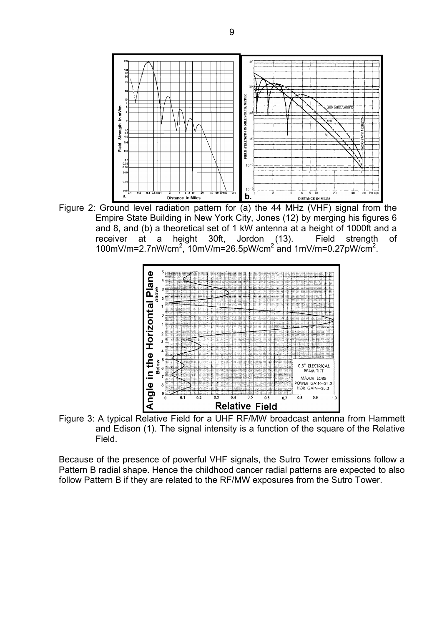

Figure 2: Ground level radiation pattern for (a) the 44 MHz (VHF) signal from the Empire State Building in New York City, Jones (12) by merging his figures 6 and 8, and (b) a theoretical set of 1 kW antenna at a height of 1000ft and a receiver at a height 30ft, Jordon (13). Field strength of 100mV/m=2.7nW/cm<sup>2</sup>, 10mV/m=26.5pW/cm<sup>2</sup> and 1mV/m=0.27pW/cm<sup>2</sup>.



Figure 3: A typical Relative Field for a UHF RF/MW broadcast antenna from Hammett and Edison (1). The signal intensity is a function of the square of the Relative Field.

Because of the presence of powerful VHF signals, the Sutro Tower emissions follow a Pattern B radial shape. Hence the childhood cancer radial patterns are expected to also follow Pattern B if they are related to the RF/MW exposures from the Sutro Tower.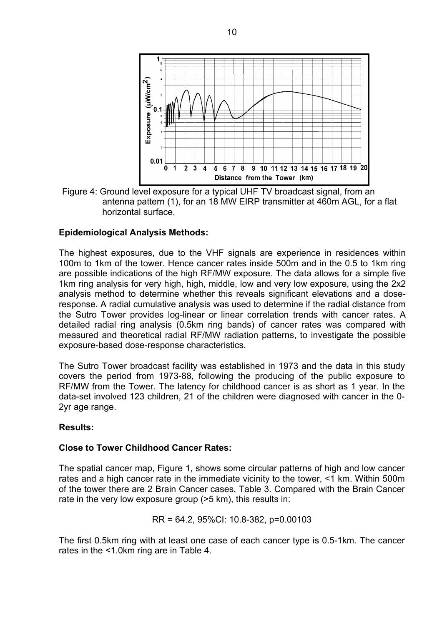

Figure 4: Ground level exposure for a typical UHF TV broadcast signal, from an antenna pattern (1), for an 18 MW EIRP transmitter at 460m AGL, for a flat horizontal surface.

#### **Epidemiological Analysis Methods:**

The highest exposures, due to the VHF signals are experience in residences within 100m to 1km of the tower. Hence cancer rates inside 500m and in the 0.5 to 1km ring are possible indications of the high RF/MW exposure. The data allows for a simple five 1km ring analysis for very high, high, middle, low and very low exposure, using the 2x2 analysis method to determine whether this reveals significant elevations and a doseresponse. A radial cumulative analysis was used to determine if the radial distance from the Sutro Tower provides log-linear or linear correlation trends with cancer rates. A detailed radial ring analysis (0.5km ring bands) of cancer rates was compared with measured and theoretical radial RF/MW radiation patterns, to investigate the possible exposure-based dose-response characteristics.

The Sutro Tower broadcast facility was established in 1973 and the data in this study covers the period from 1973-88, following the producing of the public exposure to RF/MW from the Tower. The latency for childhood cancer is as short as 1 year. In the data-set involved 123 children, 21 of the children were diagnosed with cancer in the 0- 2yr age range.

#### **Results:**

#### **Close to Tower Childhood Cancer Rates:**

The spatial cancer map, Figure 1, shows some circular patterns of high and low cancer rates and a high cancer rate in the immediate vicinity to the tower, <1 km. Within 500m of the tower there are 2 Brain Cancer cases, Table 3. Compared with the Brain Cancer rate in the very low exposure group (>5 km), this results in:

$$
RR = 64.2, 95\% CI: 10.8-382, p=0.00103
$$

The first 0.5km ring with at least one case of each cancer type is 0.5-1km. The cancer rates in the <1.0km ring are in Table 4.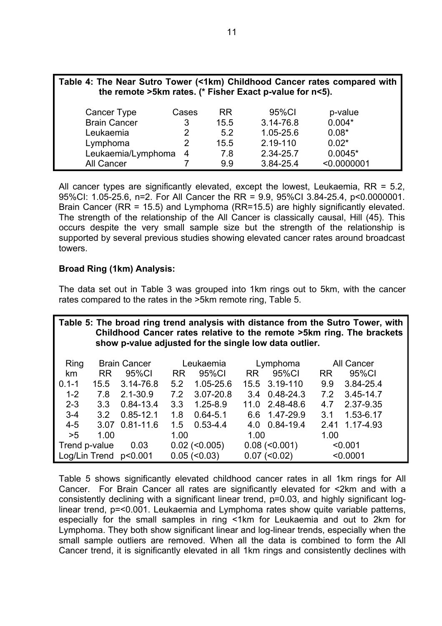| Table 4: The Near Sutro Tower (<1km) Childhood Cancer rates compared with<br>the remote >5km rates. (* Fisher Exact p-value for n<5). |                |           |           |             |  |  |  |
|---------------------------------------------------------------------------------------------------------------------------------------|----------------|-----------|-----------|-------------|--|--|--|
| Cancer Type                                                                                                                           | Cases          | <b>RR</b> | 95%CI     | p-value     |  |  |  |
| <b>Brain Cancer</b>                                                                                                                   | 3              | 15.5      | 3.14-76.8 | $0.004*$    |  |  |  |
| Leukaemia                                                                                                                             | 2              | 5.2       | 1.05-25.6 | $0.08*$     |  |  |  |
| Lymphoma                                                                                                                              | 2              | 15.5      | 2.19-110  | $0.02*$     |  |  |  |
| Leukaemia/Lymphoma                                                                                                                    | $\overline{4}$ | 7.8       | 2.34-25.7 | $0.0045*$   |  |  |  |
| All Cancer                                                                                                                            |                | 9.9       | 3.84-25.4 | < 0.0000001 |  |  |  |

All cancer types are significantly elevated, except the lowest, Leukaemia, RR = 5.2, 95%CI: 1.05-25.6, n=2. For All Cancer the RR = 9.9, 95%CI 3.84-25.4, p<0.0000001. Brain Cancer (RR = 15.5) and Lymphoma (RR=15.5) are highly significantly elevated. The strength of the relationship of the All Cancer is classically causal, Hill (45). This occurs despite the very small sample size but the strength of the relationship is supported by several previous studies showing elevated cancer rates around broadcast towers.

#### **Broad Ring (1km) Analysis:**

The data set out in Table 3 was grouped into 1km rings out to 5km, with the cancer rates compared to the rates in the >5km remote ring, Table 5.

| Table 5: The broad ring trend analysis with distance from the Sutro Tower, with<br>Childhood Cancer rates relative to the remote >5km ring. The brackets<br>show p-value adjusted for the single low data outlier. |           |                       |           |                     |      |                     |      |               |  |
|--------------------------------------------------------------------------------------------------------------------------------------------------------------------------------------------------------------------|-----------|-----------------------|-----------|---------------------|------|---------------------|------|---------------|--|
| <b>Ring</b>                                                                                                                                                                                                        |           | <b>Brain Cancer</b>   |           | Leukaemia           |      | Lymphoma            |      | All Cancer    |  |
| km                                                                                                                                                                                                                 | <b>RR</b> | 95%CI                 | <b>RR</b> | 95%CI               | RR.  | 95%CI               | RR.  | 95%CI         |  |
| $0.1 - 1$                                                                                                                                                                                                          | 15.5      | $3.14 - 76.8$         | 5.2       | $1.05 - 25.6$       | 15.5 | 3.19-110            | 9.9  | 3.84-25.4     |  |
| $1 - 2$                                                                                                                                                                                                            | 7.8       | $2.1 - 30.9$          | 7.2       | $3.07 - 20.8$       | 3.4  | 0.48-24.3           | 7.2  | $3.45 - 14.7$ |  |
| $2 - 3$                                                                                                                                                                                                            | 3.3       | $0.84 - 13.4$         | 3.3       | $1.25 - 8.9$        | 11.0 | 2.48-48.6           | 4.7  | 2.37-9.35     |  |
| $3 - 4$                                                                                                                                                                                                            | 3.2       | $0.85 - 12.1$         | 1.8       | $0.64 - 5.1$        | 6.6  | 1.47-29.9           | 3.1  | 1.53-6.17     |  |
| $4 - 5$                                                                                                                                                                                                            | 3.07      | $0.81 - 11.6$         | 1.5       | $0.53 - 4.4$        | 4.0  | 0.84-19.4           | 2.41 | 1.17-4.93     |  |
| >5                                                                                                                                                                                                                 | 1.00      |                       | 1.00      |                     | 1.00 |                     | 1.00 |               |  |
| Trend p-value                                                                                                                                                                                                      |           | 0.03                  |           | $0.02$ (< $0.005$ ) |      | $0.08$ (< $0.001$ ) |      | < 0.001       |  |
|                                                                                                                                                                                                                    |           | Log/Lin Trend p<0.001 |           | $0.05$ (< $0.03$ )  |      | $0.07$ (< $0.02$ )  |      | < 0.0001      |  |

Table 5 shows significantly elevated childhood cancer rates in all 1km rings for All Cancer. For Brain Cancer all rates are significantly elevated for <2km and with a consistently declining with a significant linear trend, p=0.03, and highly significant loglinear trend, p=<0.001. Leukaemia and Lymphoma rates show quite variable patterns, especially for the small samples in ring <1km for Leukaemia and out to 2km for Lymphoma. They both show significant linear and log-linear trends, especially when the small sample outliers are removed. When all the data is combined to form the All Cancer trend, it is significantly elevated in all 1km rings and consistently declines with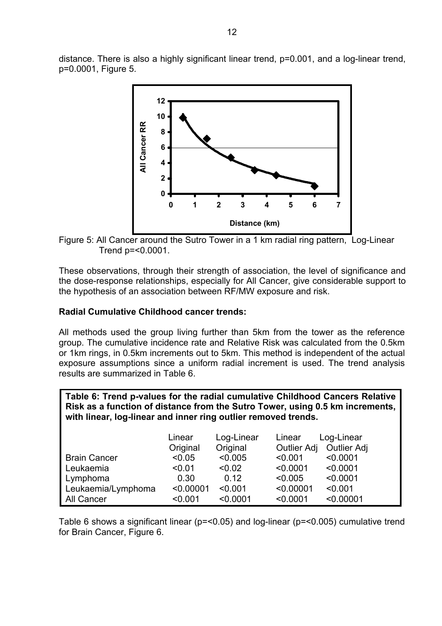distance. There is also a highly significant linear trend, p=0.001, and a log-linear trend, p=0.0001, Figure 5.



Figure 5: All Cancer around the Sutro Tower in a 1 km radial ring pattern, Log-Linear Trend p=<0.0001.

These observations, through their strength of association, the level of significance and the dose-response relationships, especially for All Cancer, give considerable support to the hypothesis of an association between RF/MW exposure and risk.

#### **Radial Cumulative Childhood cancer trends:**

All methods used the group living further than 5km from the tower as the reference group. The cumulative incidence rate and Relative Risk was calculated from the 0.5km or 1km rings, in 0.5km increments out to 5km. This method is independent of the actual exposure assumptions since a uniform radial increment is used. The trend analysis results are summarized in Table 6.

**Table 6: Trend p-values for the radial cumulative Childhood Cancers Relative Risk as a function of distance from the Sutro Tower, using 0.5 km increments, with linear, log-linear and inner ring outlier removed trends.** 

|                     | Linear<br>Original | Log-Linear<br>Original | Linear<br><b>Outlier Adj</b> | Log-Linear<br><b>Outlier Adj</b> |
|---------------------|--------------------|------------------------|------------------------------|----------------------------------|
| <b>Brain Cancer</b> | < 0.05             | < 0.005                | < 0.001                      | < 0.0001                         |
| Leukaemia           | < 0.01             | < 0.02                 | < 0.0001                     | < 0.0001                         |
| Lymphoma            | 0.30               | 0.12                   | < 0.005                      | < 0.0001                         |
| Leukaemia/Lymphoma  | < 0.00001          | < 0.001                | < 0.00001                    | < 0.001                          |
| All Cancer          | < 0.001            | < 0.0001               | < 0.0001                     | < 0.00001                        |

Table 6 shows a significant linear (p=<0.05) and log-linear (p=<0.005) cumulative trend for Brain Cancer, Figure 6.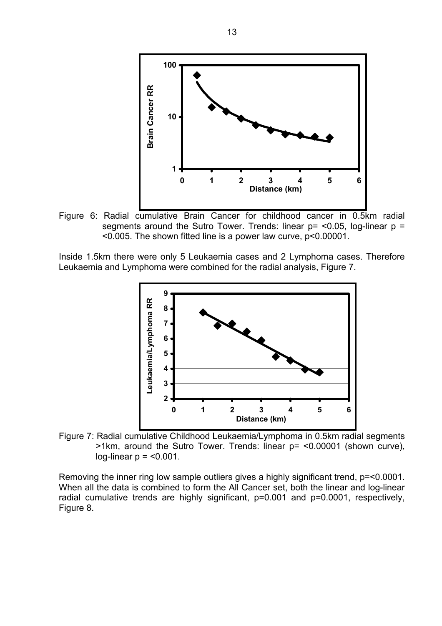

Figure 6: Radial cumulative Brain Cancer for childhood cancer in 0.5km radial segments around the Sutro Tower. Trends: linear  $p =$  <0.05, log-linear  $p =$ <0.005. The shown fitted line is a power law curve, p<0.00001.

Inside 1.5km there were only 5 Leukaemia cases and 2 Lymphoma cases. Therefore Leukaemia and Lymphoma were combined for the radial analysis, Figure 7.



Figure 7: Radial cumulative Childhood Leukaemia/Lymphoma in 0.5km radial segments >1km, around the Sutro Tower. Trends: linear p= <0.00001 (shown curve), log-linear  $p = 0.001$ .

Removing the inner ring low sample outliers gives a highly significant trend,  $p = 0.0001$ . When all the data is combined to form the All Cancer set, both the linear and log-linear radial cumulative trends are highly significant, p=0.001 and p=0.0001, respectively, Figure 8.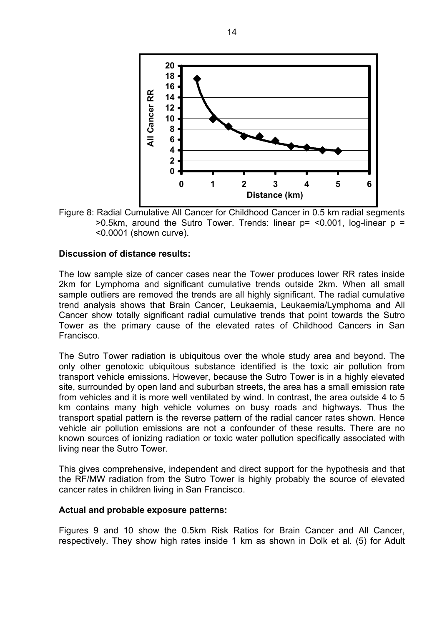

Figure 8: Radial Cumulative All Cancer for Childhood Cancer in 0.5 km radial segments  $>0.5$ km, around the Sutro Tower. Trends: linear  $p =$  <0.001, log-linear  $p =$ <0.0001 (shown curve).

#### **Discussion of distance results:**

The low sample size of cancer cases near the Tower produces lower RR rates inside 2km for Lymphoma and significant cumulative trends outside 2km. When all small sample outliers are removed the trends are all highly significant. The radial cumulative trend analysis shows that Brain Cancer, Leukaemia, Leukaemia/Lymphoma and All Cancer show totally significant radial cumulative trends that point towards the Sutro Tower as the primary cause of the elevated rates of Childhood Cancers in San Francisco.

The Sutro Tower radiation is ubiquitous over the whole study area and beyond. The only other genotoxic ubiquitous substance identified is the toxic air pollution from transport vehicle emissions. However, because the Sutro Tower is in a highly elevated site, surrounded by open land and suburban streets, the area has a small emission rate from vehicles and it is more well ventilated by wind. In contrast, the area outside 4 to 5 km contains many high vehicle volumes on busy roads and highways. Thus the transport spatial pattern is the reverse pattern of the radial cancer rates shown. Hence vehicle air pollution emissions are not a confounder of these results. There are no known sources of ionizing radiation or toxic water pollution specifically associated with living near the Sutro Tower.

This gives comprehensive, independent and direct support for the hypothesis and that the RF/MW radiation from the Sutro Tower is highly probably the source of elevated cancer rates in children living in San Francisco.

#### **Actual and probable exposure patterns:**

Figures 9 and 10 show the 0.5km Risk Ratios for Brain Cancer and All Cancer, respectively. They show high rates inside 1 km as shown in Dolk et al. (5) for Adult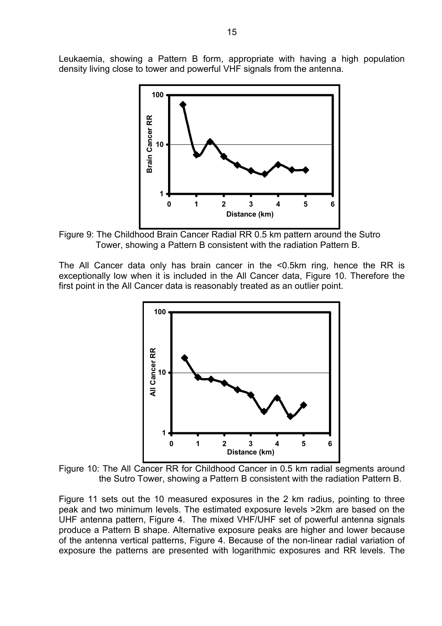Leukaemia, showing a Pattern B form, appropriate with having a high population density living close to tower and powerful VHF signals from the antenna.



Figure 9: The Childhood Brain Cancer Radial RR 0.5 km pattern around the Sutro Tower, showing a Pattern B consistent with the radiation Pattern B.

The All Cancer data only has brain cancer in the <0.5km ring, hence the RR is exceptionally low when it is included in the All Cancer data, Figure 10. Therefore the first point in the All Cancer data is reasonably treated as an outlier point.



Figure 10: The All Cancer RR for Childhood Cancer in 0.5 km radial segments around the Sutro Tower, showing a Pattern B consistent with the radiation Pattern B.

Figure 11 sets out the 10 measured exposures in the 2 km radius, pointing to three peak and two minimum levels. The estimated exposure levels >2km are based on the UHF antenna pattern, Figure 4. The mixed VHF/UHF set of powerful antenna signals produce a Pattern B shape. Alternative exposure peaks are higher and lower because of the antenna vertical patterns, Figure 4. Because of the non-linear radial variation of exposure the patterns are presented with logarithmic exposures and RR levels. The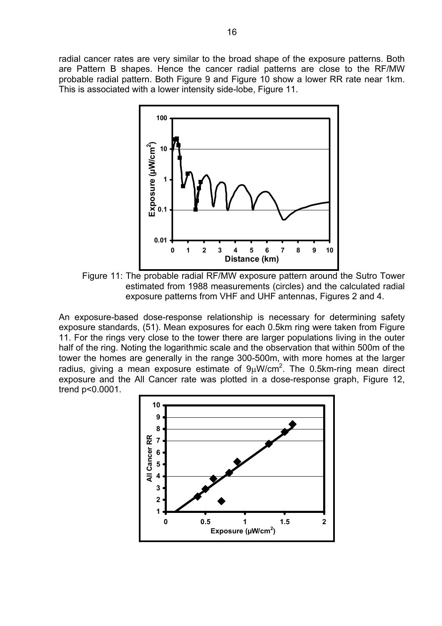radial cancer rates are very similar to the broad shape of the exposure patterns. Both are Pattern B shapes. Hence the cancer radial patterns are close to the RF/MW probable radial pattern. Both Figure 9 and Figure 10 show a lower RR rate near 1km. This is associated with a lower intensity side-lobe, Figure 11.



Figure 11: The probable radial RF/MW exposure pattern around the Sutro Tower estimated from 1988 measurements (circles) and the calculated radial exposure patterns from VHF and UHF antennas, Figures 2 and 4.

An exposure-based dose-response relationship is necessary for determining safety exposure standards, (51). Mean exposures for each 0.5km ring were taken from Figure 11. For the rings very close to the tower there are larger populations living in the outer half of the ring. Noting the logarithmic scale and the observation that within 500m of the tower the homes are generally in the range 300-500m, with more homes at the larger radius, giving a mean exposure estimate of  $9 \mu W/cm^2$ . The 0.5km-ring mean direct exposure and the All Cancer rate was plotted in a dose-response graph, Figure 12, trend p<0.0001.

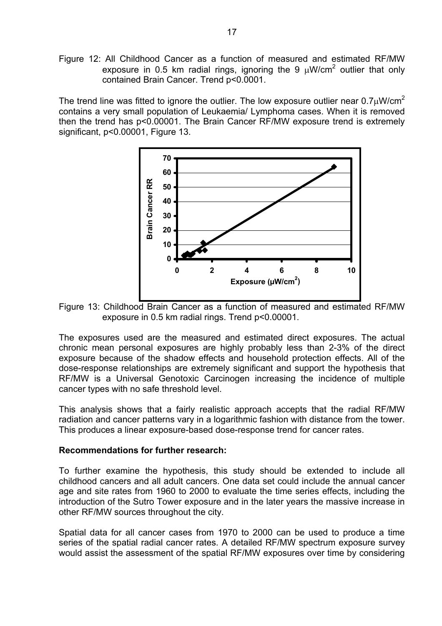Figure 12: All Childhood Cancer as a function of measured and estimated RF/MW exposure in 0.5 km radial rings, ignoring the 9  $\mu$ W/cm<sup>2</sup> outlier that only contained Brain Cancer. Trend p<0.0001.

The trend line was fitted to ignore the outlier. The low exposure outlier near  $0.7 \mu$ W/cm<sup>2</sup> contains a very small population of Leukaemia/ Lymphoma cases. When it is removed then the trend has p<0.00001. The Brain Cancer RF/MW exposure trend is extremely significant, p<0.00001, Figure 13.



Figure 13: Childhood Brain Cancer as a function of measured and estimated RF/MW exposure in 0.5 km radial rings. Trend p<0.00001.

The exposures used are the measured and estimated direct exposures. The actual chronic mean personal exposures are highly probably less than 2-3% of the direct exposure because of the shadow effects and household protection effects. All of the dose-response relationships are extremely significant and support the hypothesis that RF/MW is a Universal Genotoxic Carcinogen increasing the incidence of multiple cancer types with no safe threshold level.

This analysis shows that a fairly realistic approach accepts that the radial RF/MW radiation and cancer patterns vary in a logarithmic fashion with distance from the tower. This produces a linear exposure-based dose-response trend for cancer rates.

#### **Recommendations for further research:**

To further examine the hypothesis, this study should be extended to include all childhood cancers and all adult cancers. One data set could include the annual cancer age and site rates from 1960 to 2000 to evaluate the time series effects, including the introduction of the Sutro Tower exposure and in the later years the massive increase in other RF/MW sources throughout the city.

Spatial data for all cancer cases from 1970 to 2000 can be used to produce a time series of the spatial radial cancer rates. A detailed RF/MW spectrum exposure survey would assist the assessment of the spatial RF/MW exposures over time by considering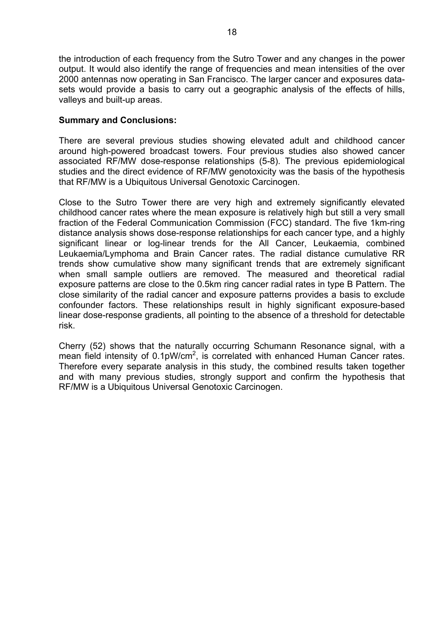the introduction of each frequency from the Sutro Tower and any changes in the power output. It would also identify the range of frequencies and mean intensities of the over 2000 antennas now operating in San Francisco. The larger cancer and exposures datasets would provide a basis to carry out a geographic analysis of the effects of hills, valleys and built-up areas.

#### **Summary and Conclusions:**

There are several previous studies showing elevated adult and childhood cancer around high-powered broadcast towers. Four previous studies also showed cancer associated RF/MW dose-response relationships (5-8). The previous epidemiological studies and the direct evidence of RF/MW genotoxicity was the basis of the hypothesis that RF/MW is a Ubiquitous Universal Genotoxic Carcinogen.

Close to the Sutro Tower there are very high and extremely significantly elevated childhood cancer rates where the mean exposure is relatively high but still a very small fraction of the Federal Communication Commission (FCC) standard. The five 1km-ring distance analysis shows dose-response relationships for each cancer type, and a highly significant linear or log-linear trends for the All Cancer, Leukaemia, combined Leukaemia/Lymphoma and Brain Cancer rates. The radial distance cumulative RR trends show cumulative show many significant trends that are extremely significant when small sample outliers are removed. The measured and theoretical radial exposure patterns are close to the 0.5km ring cancer radial rates in type B Pattern. The close similarity of the radial cancer and exposure patterns provides a basis to exclude confounder factors. These relationships result in highly significant exposure-based linear dose-response gradients, all pointing to the absence of a threshold for detectable risk.

Cherry (52) shows that the naturally occurring Schumann Resonance signal, with a mean field intensity of 0.1pW/cm<sup>2</sup>, is correlated with enhanced Human Cancer rates. Therefore every separate analysis in this study, the combined results taken together and with many previous studies, strongly support and confirm the hypothesis that RF/MW is a Ubiquitous Universal Genotoxic Carcinogen.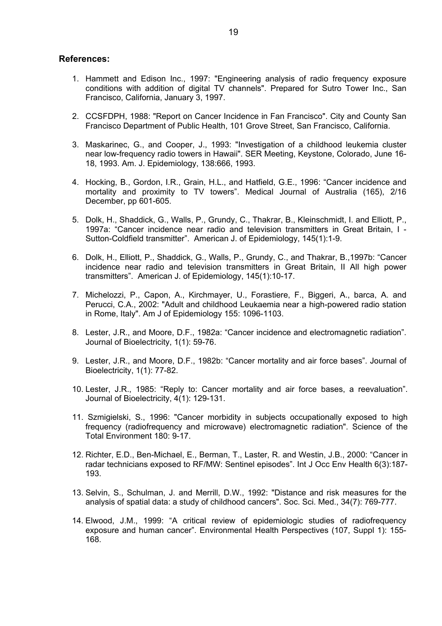#### **References:**

- 1. Hammett and Edison Inc., 1997: "Engineering analysis of radio frequency exposure conditions with addition of digital TV channels". Prepared for Sutro Tower Inc., San Francisco, California, January 3, 1997.
- 2. CCSFDPH, 1988: "Report on Cancer Incidence in Fan Francisco". City and County San Francisco Department of Public Health, 101 Grove Street, San Francisco, California.
- 3. Maskarinec, G., and Cooper, J., 1993: "Investigation of a childhood leukemia cluster near low-frequency radio towers in Hawaii". SER Meeting, Keystone, Colorado, June 16- 18, 1993. Am. J. Epidemiology, 138:666, 1993.
- 4. Hocking, B., Gordon, I.R., Grain, H.L., and Hatfield, G.E., 1996: "Cancer incidence and mortality and proximity to TV towers". Medical Journal of Australia (165), 2/16 December, pp 601-605.
- 5. Dolk, H., Shaddick, G., Walls, P., Grundy, C., Thakrar, B., Kleinschmidt, I. and Elliott, P., 1997a: "Cancer incidence near radio and television transmitters in Great Britain, I - Sutton-Coldfield transmitter". American J. of Epidemiology, 145(1):1-9.
- 6. Dolk, H., Elliott, P., Shaddick, G., Walls, P., Grundy, C., and Thakrar, B.,1997b: "Cancer incidence near radio and television transmitters in Great Britain, II All high power transmitters". American J. of Epidemiology, 145(1):10-17.
- 7. Michelozzi, P., Capon, A., Kirchmayer, U., Forastiere, F., Biggeri, A., barca, A. and Perucci, C.A., 2002: "Adult and childhood Leukaemia near a high-powered radio station in Rome, Italy". Am J of Epidemiology 155: 1096-1103.
- 8. Lester, J.R., and Moore, D.F., 1982a: "Cancer incidence and electromagnetic radiation". Journal of Bioelectricity, 1(1): 59-76.
- 9. Lester, J.R., and Moore, D.F., 1982b: "Cancer mortality and air force bases". Journal of Bioelectricity, 1(1): 77-82.
- 10. Lester, J.R., 1985: "Reply to: Cancer mortality and air force bases, a reevaluation". Journal of Bioelectricity, 4(1): 129-131.
- 11. Szmigielski, S., 1996: "Cancer morbidity in subjects occupationally exposed to high frequency (radiofrequency and microwave) electromagnetic radiation". Science of the Total Environment 180: 9-17.
- 12. Richter, E.D., Ben-Michael, E., Berman, T., Laster, R. and Westin, J.B., 2000: "Cancer in radar technicians exposed to RF/MW: Sentinel episodes". Int J Occ Env Health 6(3):187- 193.
- 13. Selvin, S., Schulman, J. and Merrill, D.W., 1992: "Distance and risk measures for the analysis of spatial data: a study of childhood cancers". Soc. Sci. Med., 34(7): 769-777.
- 14. Elwood, J.M., 1999: "A critical review of epidemiologic studies of radiofrequency exposure and human cancer". Environmental Health Perspectives (107, Suppl 1): 155- 168.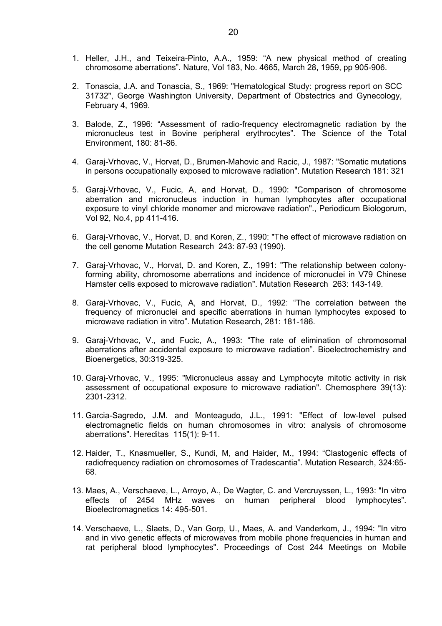- 1. Heller, J.H., and Teixeira-Pinto, A.A., 1959: "A new physical method of creating chromosome aberrations". Nature, Vol 183, No. 4665, March 28, 1959, pp 905-906.
- 2. Tonascia, J.A. and Tonascia, S., 1969: "Hematological Study: progress report on SCC 31732", George Washington University, Department of Obstectrics and Gynecology, February 4, 1969.
- 3. Balode, Z., 1996: "Assessment of radio-frequency electromagnetic radiation by the micronucleus test in Bovine peripheral erythrocytes". The Science of the Total Environment, 180: 81-86.
- 4. Garaj-Vrhovac, V., Horvat, D., Brumen-Mahovic and Racic, J., 1987: "Somatic mutations in persons occupationally exposed to microwave radiation". Mutation Research 181: 321
- 5. Garaj-Vrhovac, V., Fucic, A, and Horvat, D., 1990: "Comparison of chromosome aberration and micronucleus induction in human lymphocytes after occupational exposure to vinyl chloride monomer and microwave radiation"., Periodicum Biologorum, Vol 92, No.4, pp 411-416.
- 6. Garaj-Vrhovac, V., Horvat, D. and Koren, Z., 1990: "The effect of microwave radiation on the cell genome Mutation Research 243: 87-93 (1990).
- 7. Garaj-Vrhovac, V., Horvat, D. and Koren, Z., 1991: "The relationship between colonyforming ability, chromosome aberrations and incidence of micronuclei in V79 Chinese Hamster cells exposed to microwave radiation". Mutation Research 263: 143-149.
- 8. Garaj-Vrhovac, V., Fucic, A, and Horvat, D., 1992: "The correlation between the frequency of micronuclei and specific aberrations in human lymphocytes exposed to microwave radiation in vitro". Mutation Research, 281: 181-186.
- 9. Garaj-Vrhovac, V., and Fucic, A., 1993: "The rate of elimination of chromosomal aberrations after accidental exposure to microwave radiation". Bioelectrochemistry and Bioenergetics, 30:319-325.
- 10. Garaj-Vrhovac, V., 1995: "Micronucleus assay and Lymphocyte mitotic activity in risk assessment of occupational exposure to microwave radiation". Chemosphere 39(13): 2301-2312.
- 11. Garcia-Sagredo, J.M. and Monteagudo, J.L., 1991: "Effect of low-level pulsed electromagnetic fields on human chromosomes in vitro: analysis of chromosome aberrations". Hereditas 115(1): 9-11.
- 12. Haider, T., Knasmueller, S., Kundi, M, and Haider, M., 1994: "Clastogenic effects of radiofrequency radiation on chromosomes of Tradescantia". Mutation Research, 324:65- 68.
- 13. Maes, A., Verschaeve, L., Arroyo, A., De Wagter, C. and Vercruyssen, L., 1993: "In vitro effects of 2454 MHz waves on human peripheral blood lymphocytes". Bioelectromagnetics 14: 495-501.
- 14. Verschaeve, L., Slaets, D., Van Gorp, U., Maes, A. and Vanderkom, J., 1994: "In vitro and in vivo genetic effects of microwaves from mobile phone frequencies in human and rat peripheral blood lymphocytes". Proceedings of Cost 244 Meetings on Mobile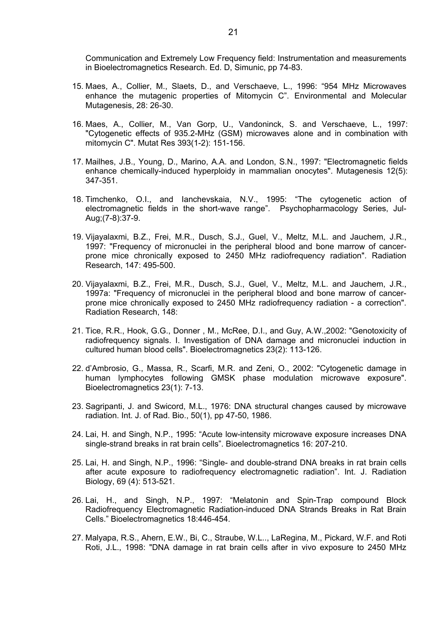Communication and Extremely Low Frequency field: Instrumentation and measurements in Bioelectromagnetics Research. Ed. D, Simunic, pp 74-83.

- 15. Maes, A., Collier, M., Slaets, D., and Verschaeve, L., 1996: "954 MHz Microwaves enhance the mutagenic properties of Mitomycin C". Environmental and Molecular Mutagenesis, 28: 26-30.
- 16. Maes, A., Collier, M., Van Gorp, U., Vandoninck, S. and Verschaeve, L., 1997: "Cytogenetic effects of 935.2-MHz (GSM) microwaves alone and in combination with mitomycin C". Mutat Res 393(1-2): 151-156.
- 17. Mailhes, J.B., Young, D., Marino, A.A. and London, S.N., 1997: "Electromagnetic fields enhance chemically-induced hyperploidy in mammalian onocytes". Mutagenesis 12(5): 347-351.
- 18. Timchenko, O.I., and Ianchevskaia, N.V., 1995: "The cytogenetic action of electromagnetic fields in the short-wave range". Psychopharmacology Series, Jul-Aug;(7-8):37-9.
- 19. Vijayalaxmi, B.Z., Frei, M.R., Dusch, S.J., Guel, V., Meltz, M.L. and Jauchem, J.R., 1997: "Frequency of micronuclei in the peripheral blood and bone marrow of cancerprone mice chronically exposed to 2450 MHz radiofrequency radiation". Radiation Research, 147: 495-500.
- 20. Vijayalaxmi, B.Z., Frei, M.R., Dusch, S.J., Guel, V., Meltz, M.L. and Jauchem, J.R., 1997a: "Frequency of micronuclei in the peripheral blood and bone marrow of cancerprone mice chronically exposed to 2450 MHz radiofrequency radiation - a correction". Radiation Research, 148:
- 21. Tice, R.R., Hook, G.G., Donner , M., McRee, D.I., and Guy, A.W.,2002: "Genotoxicity of radiofrequency signals. I. Investigation of DNA damage and micronuclei induction in cultured human blood cells". Bioelectromagnetics 23(2): 113-126.
- 22. d'Ambrosio, G., Massa, R., Scarfi, M.R. and Zeni, O., 2002: "Cytogenetic damage in human lymphocytes following GMSK phase modulation microwave exposure". Bioelectromagnetics 23(1): 7-13.
- 23. Sagripanti, J. and Swicord, M.L., 1976: DNA structural changes caused by microwave radiation. Int. J. of Rad. Bio., 50(1), pp 47-50, 1986.
- 24. Lai, H. and Singh, N.P., 1995: "Acute low-intensity microwave exposure increases DNA single-strand breaks in rat brain cells". Bioelectromagnetics 16: 207-210.
- 25. Lai, H. and Singh, N.P., 1996: "Single- and double-strand DNA breaks in rat brain cells after acute exposure to radiofrequency electromagnetic radiation". Int. J. Radiation Biology, 69 (4): 513-521.
- 26. Lai, H., and Singh, N.P., 1997: "Melatonin and Spin-Trap compound Block Radiofrequency Electromagnetic Radiation-induced DNA Strands Breaks in Rat Brain Cells." Bioelectromagnetics 18:446-454.
- 27. Malyapa, R.S., Ahern, E.W., Bi, C., Straube, W.L.., LaRegina, M., Pickard, W.F. and Roti Roti, J.L., 1998: "DNA damage in rat brain cells after in vivo exposure to 2450 MHz